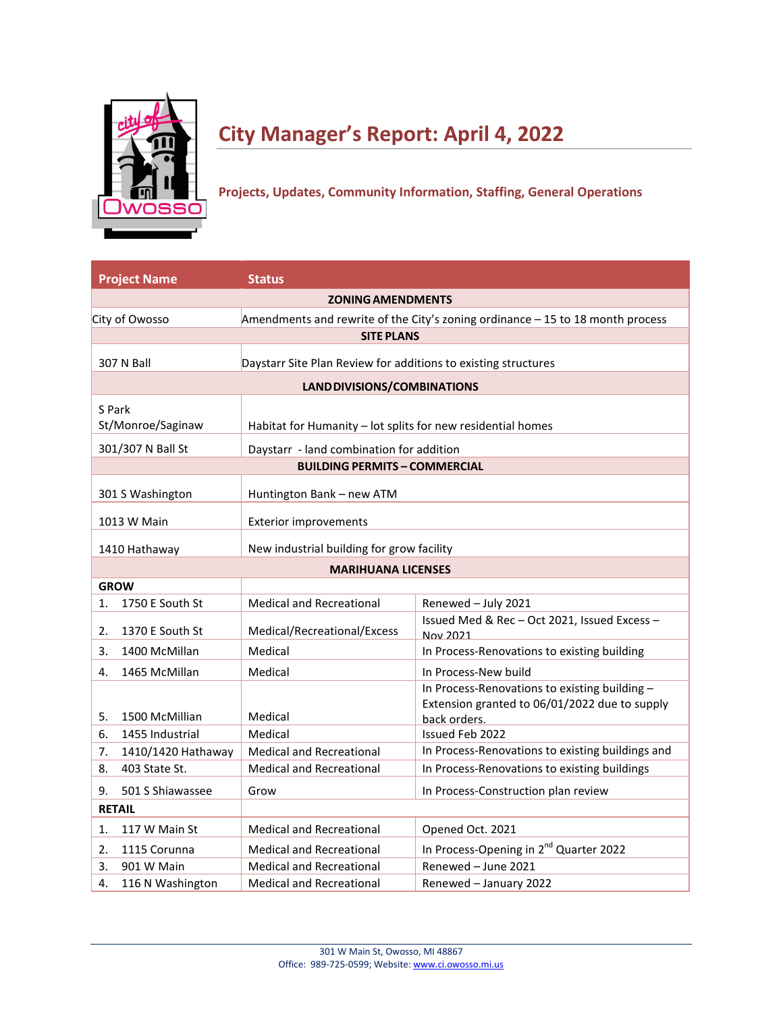

# **City Manager's Report: April 4, 2022**

# **Projects, Updates, Community Information, Staffing, General Operations**

| <b>Project Name</b>         | <b>Status</b>                                                  |                                                                                                                |
|-----------------------------|----------------------------------------------------------------|----------------------------------------------------------------------------------------------------------------|
|                             | <b>ZONING AMENDMENTS</b>                                       |                                                                                                                |
| City of Owosso              |                                                                | Amendments and rewrite of the City's zoning ordinance - 15 to 18 month process                                 |
|                             | <b>SITE PLANS</b>                                              |                                                                                                                |
| 307 N Ball                  | Daystarr Site Plan Review for additions to existing structures |                                                                                                                |
|                             | LAND DIVISIONS/COMBINATIONS                                    |                                                                                                                |
| S Park<br>St/Monroe/Saginaw | Habitat for Humanity - lot splits for new residential homes    |                                                                                                                |
| 301/307 N Ball St           | Daystarr - land combination for addition                       |                                                                                                                |
|                             | <b>BUILDING PERMITS - COMMERCIAL</b>                           |                                                                                                                |
| 301 S Washington            | Huntington Bank - new ATM                                      |                                                                                                                |
| 1013 W Main                 | <b>Exterior improvements</b>                                   |                                                                                                                |
| 1410 Hathaway               | New industrial building for grow facility                      |                                                                                                                |
|                             | <b>MARIHUANA LICENSES</b>                                      |                                                                                                                |
| <b>GROW</b>                 |                                                                |                                                                                                                |
| 1750 E South St<br>1.       | <b>Medical and Recreational</b>                                | Renewed - July 2021                                                                                            |
| 1370 E South St<br>2.       | Medical/Recreational/Excess                                    | Issued Med & Rec-Oct 2021, Issued Excess-<br>Nov 2021                                                          |
| 3.<br>1400 McMillan         | Medical                                                        | In Process-Renovations to existing building                                                                    |
| 1465 McMillan<br>4.         | Medical                                                        | In Process-New build                                                                                           |
| 5.<br>1500 McMillian        | Medical                                                        | In Process-Renovations to existing building -<br>Extension granted to 06/01/2022 due to supply<br>back orders. |
| 1455 Industrial<br>6.       | Medical                                                        | <b>Issued Feb 2022</b>                                                                                         |
| 1410/1420 Hathaway<br>7.    | <b>Medical and Recreational</b>                                | In Process-Renovations to existing buildings and                                                               |
| 403 State St.<br>8.         | <b>Medical and Recreational</b>                                | In Process-Renovations to existing buildings                                                                   |
| 501 S Shiawassee<br>9.      | Grow                                                           | In Process-Construction plan review                                                                            |
| <b>RETAIL</b>               |                                                                |                                                                                                                |
| 1.<br>117 W Main St         | <b>Medical and Recreational</b>                                | Opened Oct. 2021                                                                                               |
| 1115 Corunna<br>2.          | <b>Medical and Recreational</b>                                | In Process-Opening in 2 <sup>nd</sup> Quarter 2022                                                             |
| 901 W Main<br>3.            | <b>Medical and Recreational</b>                                | Renewed - June 2021                                                                                            |
| 4.<br>116 N Washington      | <b>Medical and Recreational</b>                                | Renewed - January 2022                                                                                         |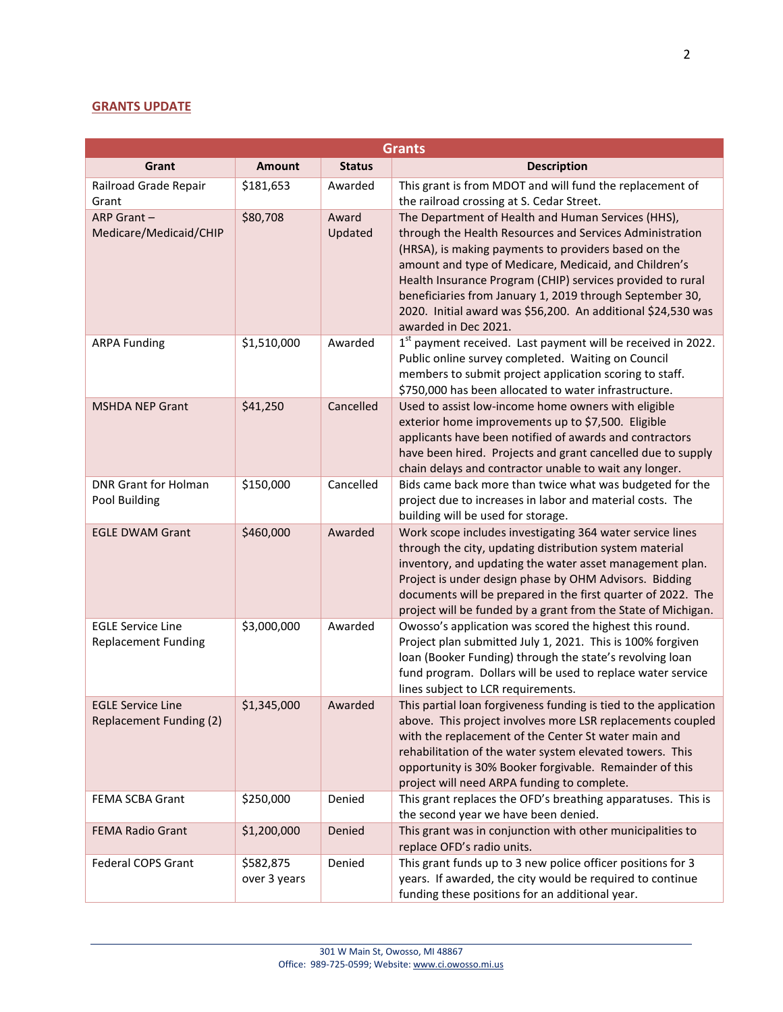## **GRANTS UPDATE**

|                                                        |                           |                  | <b>Grants</b>                                                                                                                                                                                                                                                                                                                                                                                                                                     |
|--------------------------------------------------------|---------------------------|------------------|---------------------------------------------------------------------------------------------------------------------------------------------------------------------------------------------------------------------------------------------------------------------------------------------------------------------------------------------------------------------------------------------------------------------------------------------------|
| Grant                                                  | Amount                    | <b>Status</b>    | <b>Description</b>                                                                                                                                                                                                                                                                                                                                                                                                                                |
| Railroad Grade Repair<br>Grant                         | \$181,653                 | Awarded          | This grant is from MDOT and will fund the replacement of<br>the railroad crossing at S. Cedar Street.                                                                                                                                                                                                                                                                                                                                             |
| ARP Grant $-$<br>Medicare/Medicaid/CHIP                | \$80,708                  | Award<br>Updated | The Department of Health and Human Services (HHS),<br>through the Health Resources and Services Administration<br>(HRSA), is making payments to providers based on the<br>amount and type of Medicare, Medicaid, and Children's<br>Health Insurance Program (CHIP) services provided to rural<br>beneficiaries from January 1, 2019 through September 30,<br>2020. Initial award was \$56,200. An additional \$24,530 was<br>awarded in Dec 2021. |
| <b>ARPA Funding</b>                                    | \$1,510,000               | Awarded          | 1 <sup>st</sup> payment received. Last payment will be received in 2022.<br>Public online survey completed. Waiting on Council<br>members to submit project application scoring to staff.<br>\$750,000 has been allocated to water infrastructure.                                                                                                                                                                                                |
| <b>MSHDA NEP Grant</b>                                 | \$41,250                  | Cancelled        | Used to assist low-income home owners with eligible<br>exterior home improvements up to \$7,500. Eligible<br>applicants have been notified of awards and contractors<br>have been hired. Projects and grant cancelled due to supply<br>chain delays and contractor unable to wait any longer.                                                                                                                                                     |
| <b>DNR Grant for Holman</b><br>Pool Building           | \$150,000                 | Cancelled        | Bids came back more than twice what was budgeted for the<br>project due to increases in labor and material costs. The<br>building will be used for storage.                                                                                                                                                                                                                                                                                       |
| <b>EGLE DWAM Grant</b>                                 | \$460,000                 | Awarded          | Work scope includes investigating 364 water service lines<br>through the city, updating distribution system material<br>inventory, and updating the water asset management plan.<br>Project is under design phase by OHM Advisors. Bidding<br>documents will be prepared in the first quarter of 2022. The<br>project will be funded by a grant from the State of Michigan.                                                                       |
| <b>EGLE Service Line</b><br><b>Replacement Funding</b> | \$3,000,000               | Awarded          | Owosso's application was scored the highest this round.<br>Project plan submitted July 1, 2021. This is 100% forgiven<br>loan (Booker Funding) through the state's revolving loan<br>fund program. Dollars will be used to replace water service<br>lines subject to LCR requirements.                                                                                                                                                            |
| <b>EGLE Service Line</b><br>Replacement Funding (2)    | \$1,345,000               | Awarded          | This partial loan forgiveness funding is tied to the application<br>above. This project involves more LSR replacements coupled<br>with the replacement of the Center St water main and<br>rehabilitation of the water system elevated towers. This<br>opportunity is 30% Booker forgivable. Remainder of this<br>project will need ARPA funding to complete.                                                                                      |
| FEMA SCBA Grant                                        | \$250,000                 | Denied           | This grant replaces the OFD's breathing apparatuses. This is<br>the second year we have been denied.                                                                                                                                                                                                                                                                                                                                              |
| <b>FEMA Radio Grant</b>                                | \$1,200,000               | Denied           | This grant was in conjunction with other municipalities to<br>replace OFD's radio units.                                                                                                                                                                                                                                                                                                                                                          |
| Federal COPS Grant                                     | \$582,875<br>over 3 years | Denied           | This grant funds up to 3 new police officer positions for 3<br>years. If awarded, the city would be required to continue<br>funding these positions for an additional year.                                                                                                                                                                                                                                                                       |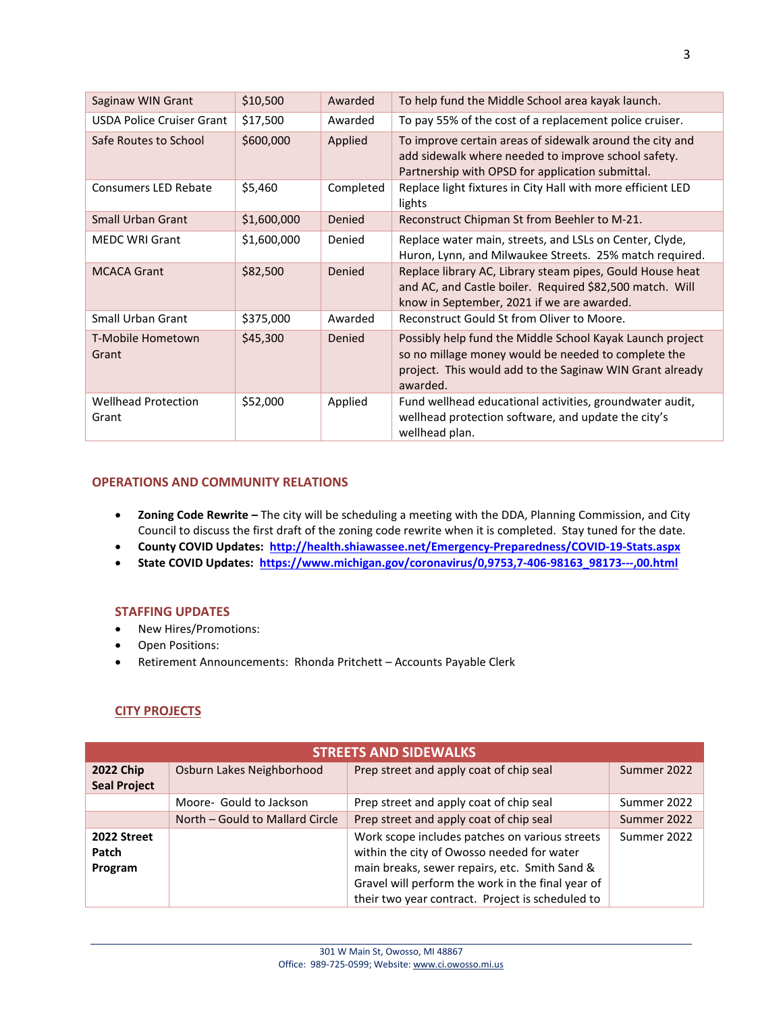| Saginaw WIN Grant                   | \$10,500    | Awarded   | To help fund the Middle School area kayak launch.                                                                                                                                        |
|-------------------------------------|-------------|-----------|------------------------------------------------------------------------------------------------------------------------------------------------------------------------------------------|
| <b>USDA Police Cruiser Grant</b>    | \$17,500    | Awarded   | To pay 55% of the cost of a replacement police cruiser.                                                                                                                                  |
| Safe Routes to School               | \$600,000   | Applied   | To improve certain areas of sidewalk around the city and<br>add sidewalk where needed to improve school safety.<br>Partnership with OPSD for application submittal.                      |
| <b>Consumers LED Rebate</b>         | \$5,460     | Completed | Replace light fixtures in City Hall with more efficient LED<br>lights                                                                                                                    |
| Small Urban Grant                   | \$1,600,000 | Denied    | Reconstruct Chipman St from Beehler to M-21.                                                                                                                                             |
| <b>MEDC WRI Grant</b>               | \$1,600,000 | Denied    | Replace water main, streets, and LSLs on Center, Clyde,<br>Huron, Lynn, and Milwaukee Streets. 25% match required.                                                                       |
| <b>MCACA Grant</b>                  | \$82,500    | Denied    | Replace library AC, Library steam pipes, Gould House heat<br>and AC, and Castle boiler. Required \$82,500 match. Will<br>know in September, 2021 if we are awarded.                      |
| Small Urban Grant                   | \$375,000   | Awarded   | Reconstruct Gould St from Oliver to Moore.                                                                                                                                               |
| T-Mobile Hometown<br>Grant          | \$45,300    | Denied    | Possibly help fund the Middle School Kayak Launch project<br>so no millage money would be needed to complete the<br>project. This would add to the Saginaw WIN Grant already<br>awarded. |
| <b>Wellhead Protection</b><br>Grant | \$52,000    | Applied   | Fund wellhead educational activities, groundwater audit,<br>wellhead protection software, and update the city's<br>wellhead plan.                                                        |

#### **OPERATIONS AND COMMUNITY RELATIONS**

- **Zoning Code Rewrite –** The city will be scheduling a meeting with the DDA, Planning Commission, and City Council to discuss the first draft of the zoning code rewrite when it is completed. Stay tuned for the date.
- **County COVID Updates: <http://health.shiawassee.net/Emergency-Preparedness/COVID-19-Stats.aspx>**
- **State COVID Updates: [https://www.michigan.gov/coronavirus/0,9753,7-406-98163\\_98173---,00.html](https://www.michigan.gov/coronavirus/0,9753,7-406-98163_98173---,00.html)**

#### **STAFFING UPDATES**

- New Hires/Promotions:
- Open Positions:
- Retirement Announcements: Rhonda Pritchett Accounts Payable Clerk

### **CITY PROJECTS**

| <b>STREETS AND SIDEWALKS</b>            |                                 |                                                                                                                                                                                                                                                        |             |
|-----------------------------------------|---------------------------------|--------------------------------------------------------------------------------------------------------------------------------------------------------------------------------------------------------------------------------------------------------|-------------|
| <b>2022 Chip</b><br><b>Seal Project</b> | Osburn Lakes Neighborhood       | Prep street and apply coat of chip seal                                                                                                                                                                                                                | Summer 2022 |
|                                         | Moore- Gould to Jackson         | Prep street and apply coat of chip seal                                                                                                                                                                                                                | Summer 2022 |
|                                         | North – Gould to Mallard Circle | Prep street and apply coat of chip seal                                                                                                                                                                                                                | Summer 2022 |
| 2022 Street<br>Patch<br>Program         |                                 | Work scope includes patches on various streets<br>within the city of Owosso needed for water<br>main breaks, sewer repairs, etc. Smith Sand &<br>Gravel will perform the work in the final year of<br>their two year contract. Project is scheduled to | Summer 2022 |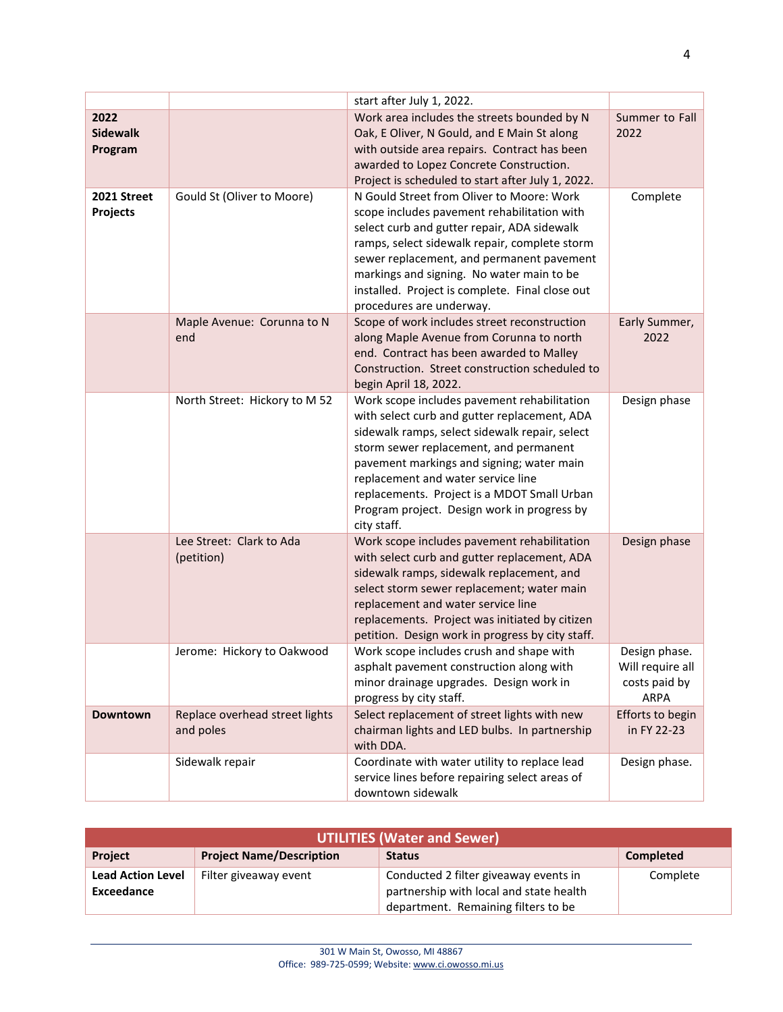|                                    |                                             | start after July 1, 2022.                                                                                                                                                                                                                                                                                                                                                               |                                                                   |
|------------------------------------|---------------------------------------------|-----------------------------------------------------------------------------------------------------------------------------------------------------------------------------------------------------------------------------------------------------------------------------------------------------------------------------------------------------------------------------------------|-------------------------------------------------------------------|
| 2022<br><b>Sidewalk</b><br>Program |                                             | Work area includes the streets bounded by N<br>Oak, E Oliver, N Gould, and E Main St along<br>with outside area repairs. Contract has been<br>awarded to Lopez Concrete Construction.<br>Project is scheduled to start after July 1, 2022.                                                                                                                                              | Summer to Fall<br>2022                                            |
| 2021 Street<br>Projects            | Gould St (Oliver to Moore)                  | N Gould Street from Oliver to Moore: Work<br>scope includes pavement rehabilitation with<br>select curb and gutter repair, ADA sidewalk<br>ramps, select sidewalk repair, complete storm<br>sewer replacement, and permanent pavement<br>markings and signing. No water main to be<br>installed. Project is complete. Final close out<br>procedures are underway.                       | Complete                                                          |
|                                    | Maple Avenue: Corunna to N<br>end           | Scope of work includes street reconstruction<br>along Maple Avenue from Corunna to north<br>end. Contract has been awarded to Malley<br>Construction. Street construction scheduled to<br>begin April 18, 2022.                                                                                                                                                                         | Early Summer,<br>2022                                             |
|                                    | North Street: Hickory to M 52               | Work scope includes pavement rehabilitation<br>with select curb and gutter replacement, ADA<br>sidewalk ramps, select sidewalk repair, select<br>storm sewer replacement, and permanent<br>pavement markings and signing; water main<br>replacement and water service line<br>replacements. Project is a MDOT Small Urban<br>Program project. Design work in progress by<br>city staff. | Design phase                                                      |
|                                    | Lee Street: Clark to Ada<br>(petition)      | Work scope includes pavement rehabilitation<br>with select curb and gutter replacement, ADA<br>sidewalk ramps, sidewalk replacement, and<br>select storm sewer replacement; water main<br>replacement and water service line<br>replacements. Project was initiated by citizen<br>petition. Design work in progress by city staff.                                                      | Design phase                                                      |
|                                    | Jerome: Hickory to Oakwood                  | Work scope includes crush and shape with<br>asphalt pavement construction along with<br>minor drainage upgrades. Design work in<br>progress by city staff.                                                                                                                                                                                                                              | Design phase.<br>Will require all<br>costs paid by<br><b>ARPA</b> |
| <b>Downtown</b>                    | Replace overhead street lights<br>and poles | Select replacement of street lights with new<br>chairman lights and LED bulbs. In partnership<br>with DDA.                                                                                                                                                                                                                                                                              | Efforts to begin<br>in FY 22-23                                   |
|                                    | Sidewalk repair                             | Coordinate with water utility to replace lead<br>service lines before repairing select areas of<br>downtown sidewalk                                                                                                                                                                                                                                                                    | Design phase.                                                     |

| <b>UTILITIES (Water and Sewer)</b>     |                                 |                                                                                                                         |                  |
|----------------------------------------|---------------------------------|-------------------------------------------------------------------------------------------------------------------------|------------------|
| <b>Project</b>                         | <b>Project Name/Description</b> | <b>Status</b>                                                                                                           | <b>Completed</b> |
| <b>Lead Action Level</b><br>Exceedance | Filter giveaway event           | Conducted 2 filter giveaway events in<br>partnership with local and state health<br>department. Remaining filters to be | Complete         |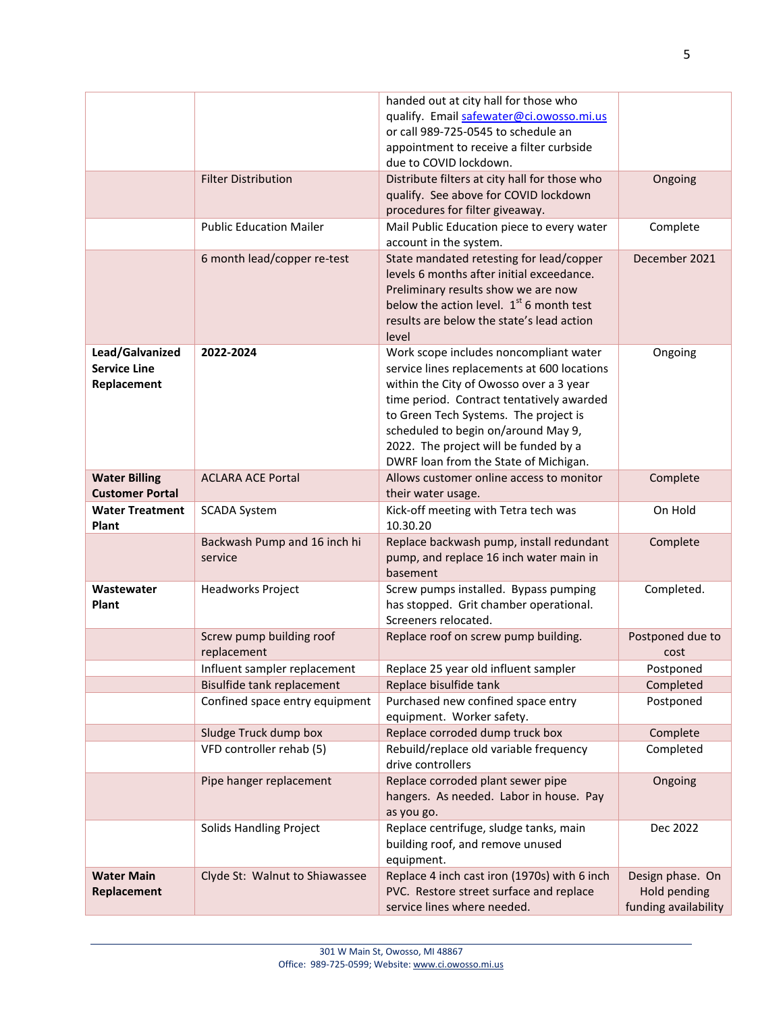|                                                       |                                         | handed out at city hall for those who<br>qualify. Email safewater@ci.owosso.mi.us<br>or call 989-725-0545 to schedule an<br>appointment to receive a filter curbside<br>due to COVID lockdown.                                                                                                                                                  |                                                          |
|-------------------------------------------------------|-----------------------------------------|-------------------------------------------------------------------------------------------------------------------------------------------------------------------------------------------------------------------------------------------------------------------------------------------------------------------------------------------------|----------------------------------------------------------|
|                                                       | <b>Filter Distribution</b>              | Distribute filters at city hall for those who<br>qualify. See above for COVID lockdown<br>procedures for filter giveaway.                                                                                                                                                                                                                       | Ongoing                                                  |
|                                                       | <b>Public Education Mailer</b>          | Mail Public Education piece to every water<br>account in the system.                                                                                                                                                                                                                                                                            | Complete                                                 |
|                                                       | 6 month lead/copper re-test             | State mandated retesting for lead/copper<br>levels 6 months after initial exceedance.<br>Preliminary results show we are now<br>below the action level. $1st$ 6 month test<br>results are below the state's lead action<br>level                                                                                                                | December 2021                                            |
| Lead/Galvanized<br><b>Service Line</b><br>Replacement | 2022-2024                               | Work scope includes noncompliant water<br>service lines replacements at 600 locations<br>within the City of Owosso over a 3 year<br>time period. Contract tentatively awarded<br>to Green Tech Systems. The project is<br>scheduled to begin on/around May 9,<br>2022. The project will be funded by a<br>DWRF loan from the State of Michigan. | Ongoing                                                  |
| <b>Water Billing</b><br><b>Customer Portal</b>        | <b>ACLARA ACE Portal</b>                | Allows customer online access to monitor<br>their water usage.                                                                                                                                                                                                                                                                                  | Complete                                                 |
| <b>Water Treatment</b><br>Plant                       | <b>SCADA System</b>                     | Kick-off meeting with Tetra tech was<br>10.30.20                                                                                                                                                                                                                                                                                                | On Hold                                                  |
|                                                       | Backwash Pump and 16 inch hi<br>service | Replace backwash pump, install redundant<br>pump, and replace 16 inch water main in<br>basement                                                                                                                                                                                                                                                 | Complete                                                 |
| Wastewater<br>Plant                                   | Headworks Project                       | Screw pumps installed. Bypass pumping<br>has stopped. Grit chamber operational.<br>Screeners relocated.                                                                                                                                                                                                                                         | Completed.                                               |
|                                                       | Screw pump building roof<br>replacement | Replace roof on screw pump building.                                                                                                                                                                                                                                                                                                            | Postponed due to<br>cost                                 |
|                                                       | Influent sampler replacement            | Replace 25 year old influent sampler                                                                                                                                                                                                                                                                                                            | Postponed                                                |
|                                                       | Bisulfide tank replacement              | Replace bisulfide tank                                                                                                                                                                                                                                                                                                                          | Completed                                                |
|                                                       | Confined space entry equipment          | Purchased new confined space entry<br>equipment. Worker safety.                                                                                                                                                                                                                                                                                 | Postponed                                                |
|                                                       | Sludge Truck dump box                   | Replace corroded dump truck box                                                                                                                                                                                                                                                                                                                 | Complete                                                 |
|                                                       | VFD controller rehab (5)                | Rebuild/replace old variable frequency<br>drive controllers                                                                                                                                                                                                                                                                                     | Completed                                                |
|                                                       | Pipe hanger replacement                 | Replace corroded plant sewer pipe<br>hangers. As needed. Labor in house. Pay<br>as you go.                                                                                                                                                                                                                                                      | Ongoing                                                  |
|                                                       | <b>Solids Handling Project</b>          | Replace centrifuge, sludge tanks, main<br>building roof, and remove unused<br>equipment.                                                                                                                                                                                                                                                        | Dec 2022                                                 |
| <b>Water Main</b><br>Replacement                      | Clyde St: Walnut to Shiawassee          | Replace 4 inch cast iron (1970s) with 6 inch<br>PVC. Restore street surface and replace<br>service lines where needed.                                                                                                                                                                                                                          | Design phase. On<br>Hold pending<br>funding availability |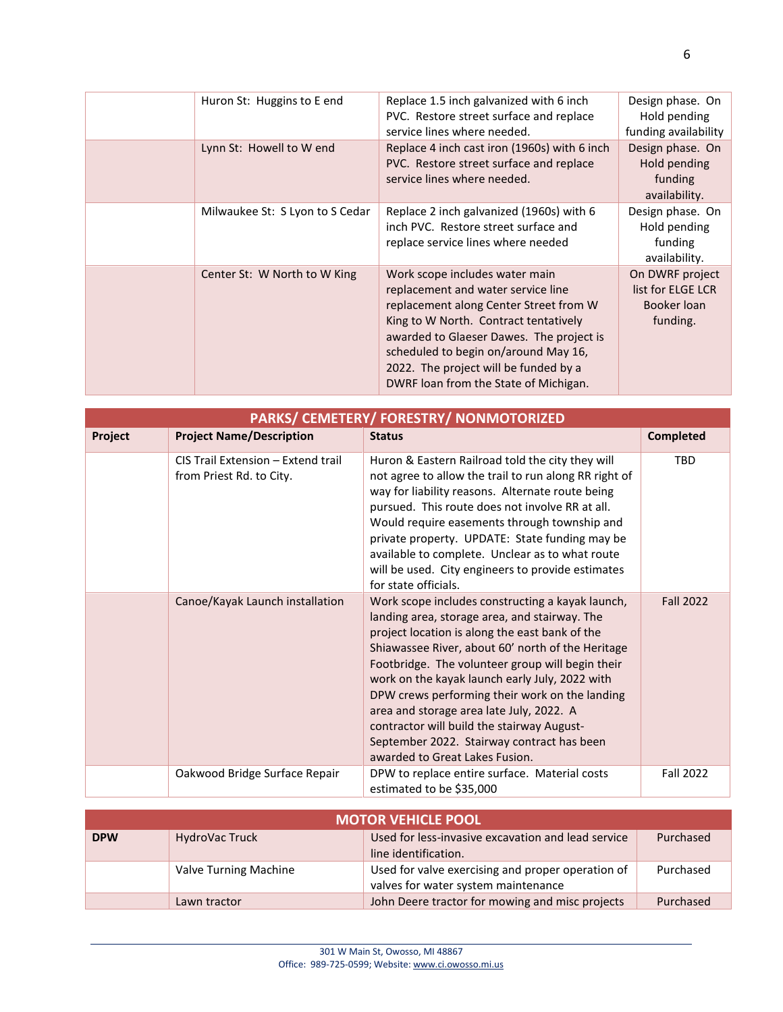| Huron St: Huggins to E end      | Replace 1.5 inch galvanized with 6 inch<br>PVC. Restore street surface and replace<br>service lines where needed.                                                                                                                                                                                                             | Design phase. On<br>Hold pending<br>funding availability        |
|---------------------------------|-------------------------------------------------------------------------------------------------------------------------------------------------------------------------------------------------------------------------------------------------------------------------------------------------------------------------------|-----------------------------------------------------------------|
| Lynn St: Howell to W end        | Replace 4 inch cast iron (1960s) with 6 inch<br>PVC. Restore street surface and replace<br>service lines where needed.                                                                                                                                                                                                        | Design phase. On<br>Hold pending<br>funding<br>availability.    |
| Milwaukee St: S Lyon to S Cedar | Replace 2 inch galvanized (1960s) with 6<br>inch PVC. Restore street surface and<br>replace service lines where needed                                                                                                                                                                                                        | Design phase. On<br>Hold pending<br>funding<br>availability.    |
| Center St: W North to W King    | Work scope includes water main<br>replacement and water service line<br>replacement along Center Street from W<br>King to W North. Contract tentatively<br>awarded to Glaeser Dawes. The project is<br>scheduled to begin on/around May 16,<br>2022. The project will be funded by a<br>DWRF loan from the State of Michigan. | On DWRF project<br>list for ELGE LCR<br>Booker Ioan<br>funding. |

| PARKS/ CEMETERY/ FORESTRY/ NONMOTORIZED |                                                                |                                                                                                                                                                                                                                                                                                                                                                                                                                                                                                                                            |                  |  |
|-----------------------------------------|----------------------------------------------------------------|--------------------------------------------------------------------------------------------------------------------------------------------------------------------------------------------------------------------------------------------------------------------------------------------------------------------------------------------------------------------------------------------------------------------------------------------------------------------------------------------------------------------------------------------|------------------|--|
| Project                                 | <b>Project Name/Description</b>                                | <b>Status</b>                                                                                                                                                                                                                                                                                                                                                                                                                                                                                                                              | <b>Completed</b> |  |
|                                         | CIS Trail Extension - Extend trail<br>from Priest Rd. to City. | Huron & Eastern Railroad told the city they will<br>not agree to allow the trail to run along RR right of<br>way for liability reasons. Alternate route being<br>pursued. This route does not involve RR at all.<br>Would require easements through township and<br>private property. UPDATE: State funding may be<br>available to complete. Unclear as to what route<br>will be used. City engineers to provide estimates<br>for state officials.                                                                                         | <b>TBD</b>       |  |
|                                         | Canoe/Kayak Launch installation                                | Work scope includes constructing a kayak launch,<br>landing area, storage area, and stairway. The<br>project location is along the east bank of the<br>Shiawassee River, about 60' north of the Heritage<br>Footbridge. The volunteer group will begin their<br>work on the kayak launch early July, 2022 with<br>DPW crews performing their work on the landing<br>area and storage area late July, 2022. A<br>contractor will build the stairway August-<br>September 2022. Stairway contract has been<br>awarded to Great Lakes Fusion. | <b>Fall 2022</b> |  |
|                                         | Oakwood Bridge Surface Repair                                  | DPW to replace entire surface. Material costs<br>estimated to be \$35,000                                                                                                                                                                                                                                                                                                                                                                                                                                                                  | <b>Fall 2022</b> |  |

| <b>MOTOR VEHICLE POOL</b> |                       |                                                                                          |           |
|---------------------------|-----------------------|------------------------------------------------------------------------------------------|-----------|
| <b>DPW</b>                | HydroVac Truck        | Used for less-invasive excavation and lead service<br>line identification.               | Purchased |
|                           | Valve Turning Machine | Used for valve exercising and proper operation of<br>valves for water system maintenance | Purchased |
|                           | Lawn tractor          | John Deere tractor for mowing and misc projects                                          | Purchased |